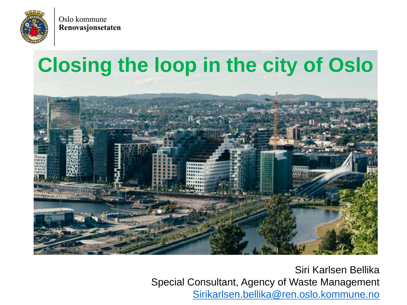

# **Closing the loop in the city of Oslo**



Siri Karlsen Bellika Special Consultant, Agency of Waste Management [Sirikarlsen.bellika@ren.oslo.kommune.no](mailto:Sirikarlsen.bellika@ren.oslo.kommune.no)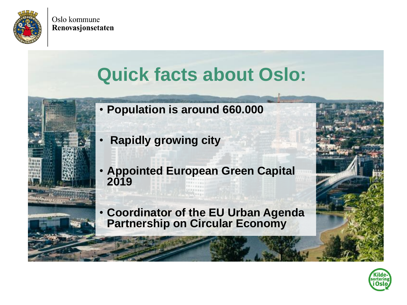

# **Quick facts about Oslo:**

- **Population is around 660.000**
- **Rapidly growing city**
- **Appointed European Green Capital 2019**
- **Coordinator of the EU Urban Agenda Partnership on Circular Economy**

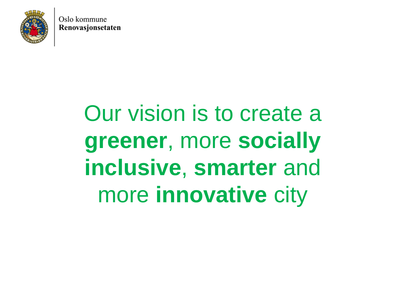

# Our vision is to create a **greener**, more **socially inclusive**, **smarter** and more **innovative** city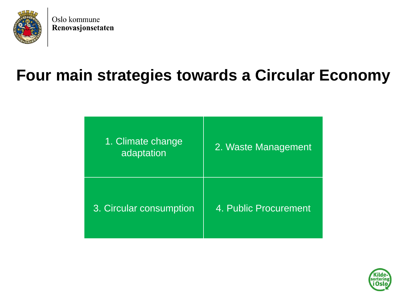

#### **Four main strategies towards a Circular Economy**

| 1. Climate change<br>adaptation | 2. Waste Management   |
|---------------------------------|-----------------------|
| 3. Circular consumption         | 4. Public Procurement |

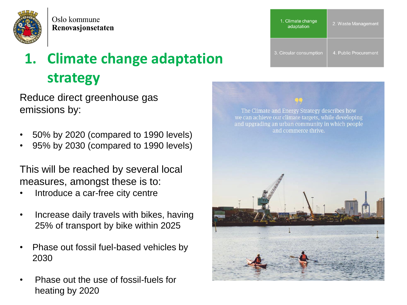

### **1. Climate change adaptation strategy**

Reduce direct greenhouse gas emissions by:

- 50% by 2020 (compared to 1990 levels)
- 95% by 2030 (compared to 1990 levels)

This will be reached by several local measures, amongst these is to:

- Introduce a car-free city centre
- Increase daily travels with bikes, having 25% of transport by bike within 2025
- Phase out fossil fuel-based vehicles by 2030
- Phase out the use of fossil-fuels for heating by 2020



The Climate and Energy Strategy describes how we can achieve our climate targets, while developing and upgrading an urban community in which people and commerce thrive.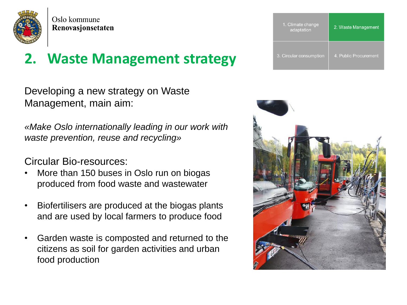

#### **2. Waste Management strategy**

Developing a new strategy on Waste Management, main aim:

*«Make Oslo internationally leading in our work with waste prevention, reuse and recycling»*

Circular Bio-resources:

- More than 150 buses in Oslo run on biogas produced from food waste and wastewater
- Biofertilisers are produced at the biogas plants and are used by local farmers to produce food
- Garden waste is composted and returned to the citizens as soil for garden activities and urban food production



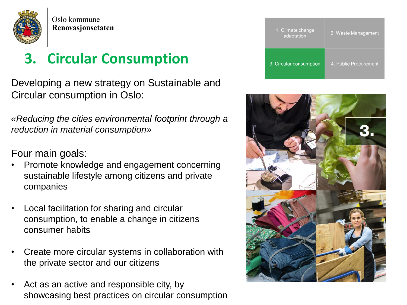

#### **3. Circular Consumption**

Developing a new strategy on Sustainable and Circular consumption in Oslo:

*«Reducing the cities environmental footprint through a reduction in material consumption»*

Four main goals:

- Promote knowledge and engagement concerning sustainable lifestyle among citizens and private companies
- Local facilitation for sharing and circular consumption, to enable a change in citizens consumer habits
- Create more circular systems in collaboration with the private sector and our citizens
- Act as an active and responsible city, by showcasing best practices on circular consumption

| 1. Climate change<br>adaptation | 2. Waste Management   |
|---------------------------------|-----------------------|
| 3. Circular consumption         | 4. Public Procurement |

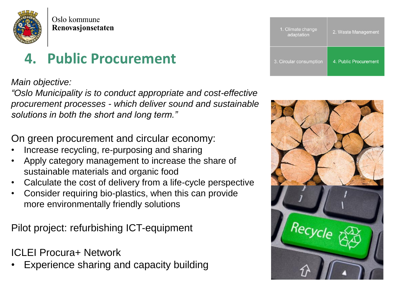

#### **4. Public Procurement**

#### *Main objective:*

*"Oslo Municipality is to conduct appropriate and cost-effective procurement processes - which deliver sound and sustainable solutions in both the short and long term."* 

On green procurement and circular economy:

- Increase recycling, re-purposing and sharing
- Apply category management to increase the share of sustainable materials and organic food
- Calculate the cost of delivery from a life-cycle perspective
- Consider requiring bio-plastics, when this can provide more environmentally friendly solutions

Pilot project: refurbishing ICT-equipment

ICLEI Procura+ Network

• Experience sharing and capacity building

| 1. Climate change<br>adaptation | 2. Waste Management   |
|---------------------------------|-----------------------|
| 3. Circular consumption         | 4. Public Procurement |